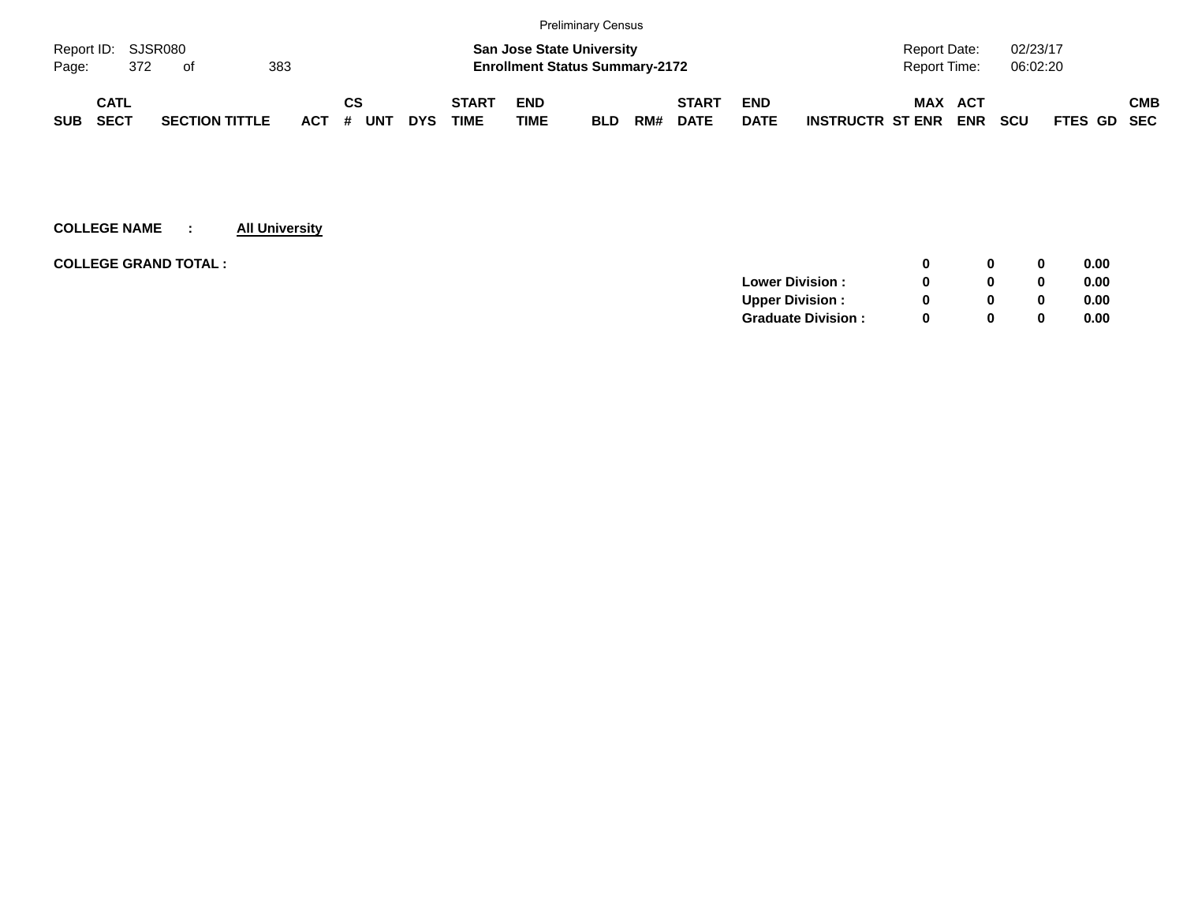|                    |      |     |                       |     |            |    |            |            |              |                                       | <b>Preliminary Census</b> |     |              |             |                         |                |            |            |                    |            |
|--------------------|------|-----|-----------------------|-----|------------|----|------------|------------|--------------|---------------------------------------|---------------------------|-----|--------------|-------------|-------------------------|----------------|------------|------------|--------------------|------------|
| Report ID: SJSR080 |      |     |                       |     |            |    |            |            |              | <b>San Jose State University</b>      |                           |     |              |             |                         | Report Date:   |            | 02/23/17   |                    |            |
| Page:              |      | 372 | - of                  | 383 |            |    |            |            |              | <b>Enrollment Status Summary-2172</b> |                           |     |              |             |                         | Report Time:   |            | 06:02:20   |                    |            |
|                    | CATL |     |                       |     |            | СS |            |            | <b>START</b> | <b>END</b>                            |                           |     | <b>START</b> | <b>END</b>  |                         | <b>MAX ACT</b> |            |            |                    | <b>CMB</b> |
| <b>SUB</b>         | SECT |     | <b>SECTION TITTLE</b> |     | <b>ACT</b> | #  | <b>UNT</b> | <b>DYS</b> | <b>TIME</b>  | <b>TIME</b>                           | <b>BLD</b>                | RM# | <b>DATE</b>  | <b>DATE</b> | <b>INSTRUCTR ST ENR</b> |                | <b>ENR</b> | <b>SCU</b> | <b>FTES GD SEC</b> |            |

| <b>COLLEGE GRAND TOTAL :</b><br>0              | 0.00 |
|------------------------------------------------|------|
| <b>Lower Division:</b><br>0                    | 0.00 |
| <b>Upper Division:</b><br><sup>0</sup><br>0    | 0.00 |
| <b>Graduate Division:</b><br><sup>0</sup><br>0 | 0.00 |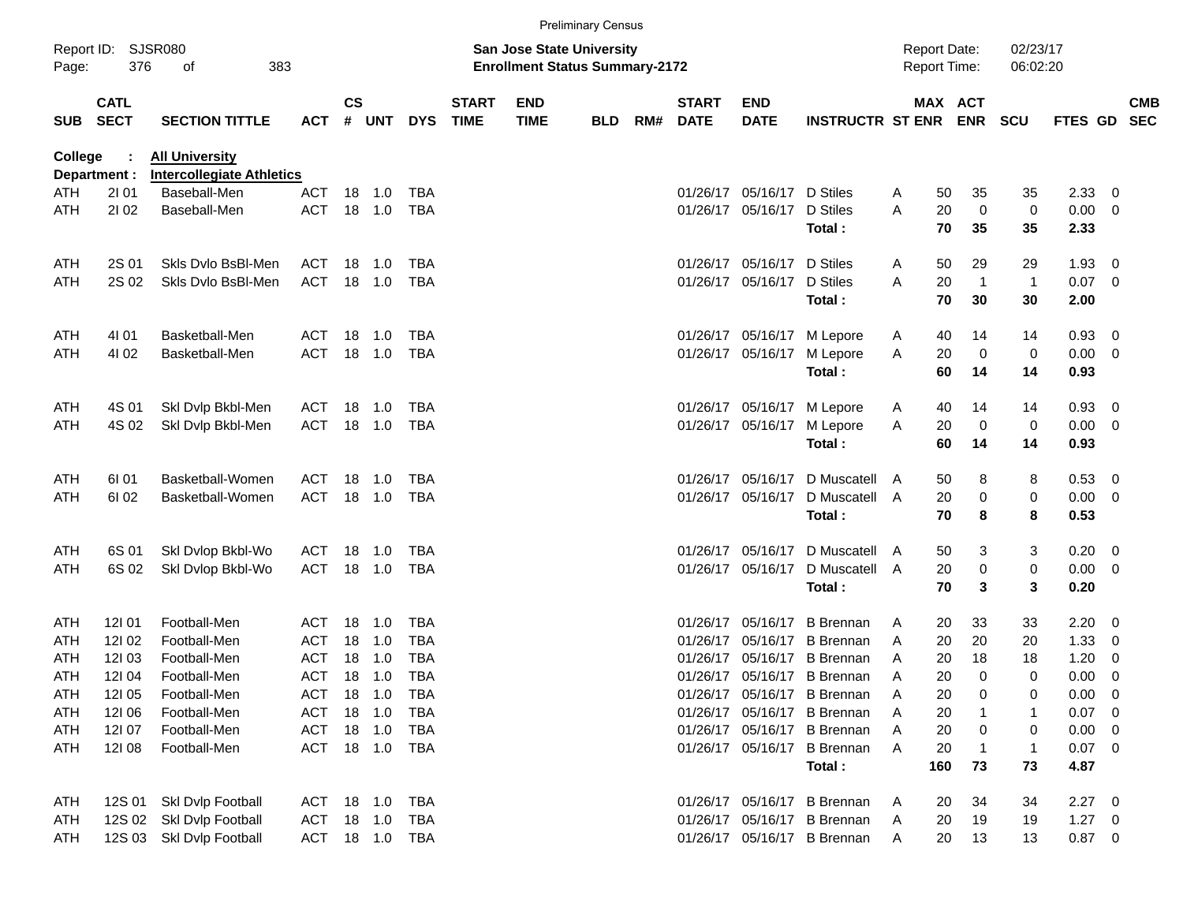|            |                            |                                                           |                |                    |        |              |                             |                                                                           | <b>Preliminary Census</b> |     |                             |                           |                             |                                            |     |                       |                      |             |                          |                          |
|------------|----------------------------|-----------------------------------------------------------|----------------|--------------------|--------|--------------|-----------------------------|---------------------------------------------------------------------------|---------------------------|-----|-----------------------------|---------------------------|-----------------------------|--------------------------------------------|-----|-----------------------|----------------------|-------------|--------------------------|--------------------------|
| Page:      | Report ID: SJSR080<br>376  | 383<br>οf                                                 |                |                    |        |              |                             | <b>San Jose State University</b><br><b>Enrollment Status Summary-2172</b> |                           |     |                             |                           |                             | <b>Report Date:</b><br><b>Report Time:</b> |     |                       | 02/23/17<br>06:02:20 |             |                          |                          |
| SUB        | <b>CATL</b><br><b>SECT</b> | <b>SECTION TITTLE</b>                                     | <b>ACT</b>     | $\mathsf{cs}$<br># | UNT    | <b>DYS</b>   | <b>START</b><br><b>TIME</b> | <b>END</b><br><b>TIME</b>                                                 | <b>BLD</b>                | RM# | <b>START</b><br><b>DATE</b> | <b>END</b><br><b>DATE</b> | <b>INSTRUCTR ST ENR</b>     |                                            |     | MAX ACT<br><b>ENR</b> | <b>SCU</b>           | FTES GD     |                          | <b>CMB</b><br><b>SEC</b> |
| College    | Department :               | <b>All University</b><br><b>Intercollegiate Athletics</b> |                |                    |        |              |                             |                                                                           |                           |     |                             |                           |                             |                                            |     |                       |                      |             |                          |                          |
| ATH        | 2101                       | Baseball-Men                                              | ACT            |                    | 18 1.0 | TBA          |                             |                                                                           |                           |     | 01/26/17                    | 05/16/17 D Stiles         |                             | A                                          | 50  | 35                    | 35                   | 2.33        | - 0                      |                          |
| ATH        | 2102                       | Baseball-Men                                              | <b>ACT</b>     |                    | 18 1.0 | <b>TBA</b>   |                             |                                                                           |                           |     |                             | 01/26/17 05/16/17         | D Stiles                    | A                                          | 20  | $\mathbf 0$           | 0                    | 0.00        | $\overline{\mathbf{0}}$  |                          |
|            |                            |                                                           |                |                    |        |              |                             |                                                                           |                           |     |                             |                           | Total:                      |                                            | 70  | 35                    | 35                   | 2.33        |                          |                          |
| ATH        | 2S 01                      | Skls Dvlo BsBI-Men                                        | <b>ACT</b>     |                    | 18 1.0 | TBA          |                             |                                                                           |                           |     | 01/26/17                    | 05/16/17                  | D Stiles                    | A                                          | 50  | 29                    | 29                   | 1.93        | - 0                      |                          |
| ATH        | 2S 02                      | Skls Dvlo BsBI-Men                                        | <b>ACT</b>     |                    | 18 1.0 | <b>TBA</b>   |                             |                                                                           |                           |     |                             | 01/26/17 05/16/17         | D Stiles                    | A                                          | 20  | $\overline{1}$        | $\mathbf{1}$         | 0.07        | $\overline{\phantom{0}}$ |                          |
|            |                            |                                                           |                |                    |        |              |                             |                                                                           |                           |     |                             |                           | Total:                      |                                            | 70  | 30                    | 30                   | 2.00        |                          |                          |
| ATH        | 4101                       | Basketball-Men                                            | <b>ACT</b>     |                    | 18 1.0 | TBA          |                             |                                                                           |                           |     | 01/26/17                    |                           | 05/16/17 M Lepore           | A                                          | 40  | 14                    | 14                   | 0.93        | - 0                      |                          |
| ATH        | 4102                       | Basketball-Men                                            | <b>ACT</b>     |                    | 18 1.0 | <b>TBA</b>   |                             |                                                                           |                           |     |                             | 01/26/17 05/16/17         | M Lepore                    | Α                                          | 20  | $\mathbf 0$           | 0                    | 0.00        | - 0                      |                          |
|            |                            |                                                           |                |                    |        |              |                             |                                                                           |                           |     |                             |                           | Total:                      |                                            | 60  | 14                    | 14                   | 0.93        |                          |                          |
| ATH        | 4S 01                      | Skl Dvlp Bkbl-Men                                         | <b>ACT</b>     | 18                 | 1.0    | TBA          |                             |                                                                           |                           |     | 01/26/17                    |                           | 05/16/17 M Lepore           | A                                          | 40  | 14                    | 14                   | 0.93        | - 0                      |                          |
| ATH        | 4S 02                      | Skl Dvlp Bkbl-Men                                         | <b>ACT</b>     |                    | 18 1.0 | TBA          |                             |                                                                           |                           |     |                             | 01/26/17 05/16/17         | M Lepore                    | Α                                          | 20  | $\mathbf 0$           | 0                    | 0.00        | $\overline{\mathbf{0}}$  |                          |
|            |                            |                                                           |                |                    |        |              |                             |                                                                           |                           |     |                             |                           | Total:                      |                                            | 60  | 14                    | 14                   | 0.93        |                          |                          |
| ATH        | 6I 01                      | Basketball-Women                                          | <b>ACT</b>     | 18                 | 1.0    | TBA          |                             |                                                                           |                           |     | 01/26/17                    | 05/16/17                  | D Muscatell                 | A                                          | 50  | 8                     | 8                    | 0.53        | - 0                      |                          |
| ATH        | 61 02                      | Basketball-Women                                          | <b>ACT</b>     |                    | 18 1.0 | <b>TBA</b>   |                             |                                                                           |                           |     |                             | 01/26/17 05/16/17         | D Muscatell                 | A                                          | 20  | 0                     | 0                    | 0.00        | $\overline{\mathbf{0}}$  |                          |
|            |                            |                                                           |                |                    |        |              |                             |                                                                           |                           |     |                             |                           | Total:                      |                                            | 70  | 8                     | 8                    | 0.53        |                          |                          |
| ATH        | 6S 01                      | Skl Dvlop Bkbl-Wo                                         | <b>ACT</b>     | 18                 | 1.0    | TBA          |                             |                                                                           |                           |     | 01/26/17                    | 05/16/17                  | D Muscatell                 | A                                          | 50  | 3                     | 3                    | 0.20        | $\overline{\mathbf{0}}$  |                          |
| ATH        | 6S 02                      | Skl Dvlop Bkbl-Wo                                         | <b>ACT</b>     |                    | 18 1.0 | TBA          |                             |                                                                           |                           |     |                             | 01/26/17 05/16/17         | D Muscatell A               |                                            | 20  | 0                     | 0                    | 0.00        | $\overline{\mathbf{0}}$  |                          |
|            |                            |                                                           |                |                    |        |              |                             |                                                                           |                           |     |                             |                           | Total:                      |                                            | 70  | 3                     | 3                    | 0.20        |                          |                          |
| ATH        | 12101                      | Football-Men                                              | ACT            | 18                 | 1.0    | TBA          |                             |                                                                           |                           |     | 01/26/17                    | 05/16/17                  | <b>B</b> Brennan            | A                                          | 20  | 33                    | 33                   | 2.20        | - 0                      |                          |
| ATH        | 121 02                     | Football-Men                                              | ACT            | 18                 | 1.0    | <b>TBA</b>   |                             |                                                                           |                           |     | 01/26/17                    |                           | 05/16/17 B Brennan          | A                                          | 20  | 20                    | 20                   | 1.33        | 0                        |                          |
| ATH        | 12103                      | Football-Men                                              | <b>ACT</b>     | 18                 | 1.0    | <b>TBA</b>   |                             |                                                                           |                           |     | 01/26/17                    |                           | 05/16/17 B Brennan          | A                                          | 20  | 18                    | 18                   | 1.20        | 0                        |                          |
| ATH        | 12104                      | Football-Men                                              | ACT            |                    | 18 1.0 | <b>TBA</b>   |                             |                                                                           |                           |     |                             |                           | 01/26/17 05/16/17 B Brennan | A                                          | 20  | $\mathbf 0$           | 0                    | 0.00        | $\overline{0}$           |                          |
| <b>ATH</b> | <b>12I 05</b>              | Football-Men                                              | <b>ACT</b>     |                    | 18 1.0 | TBA          |                             |                                                                           |                           |     |                             |                           | 01/26/17 05/16/17 B Brennan | $\overline{\mathsf{A}}$                    | 20  | 0                     | 0                    | 0.00        | - 0                      |                          |
| ATH        | 12106                      | Football-Men                                              | <b>ACT</b>     |                    | 18 1.0 | <b>TBA</b>   |                             |                                                                           |                           |     |                             |                           | 01/26/17 05/16/17 B Brennan | A                                          | 20  |                       | 1                    | 0.07        | $\overline{\phantom{0}}$ |                          |
| ATH        | 12107                      | Football-Men                                              | <b>ACT</b>     |                    | 18 1.0 | TBA          |                             |                                                                           |                           |     |                             |                           | 01/26/17 05/16/17 B Brennan | A                                          | 20  | 0                     | 0                    | 0.00        | - 0                      |                          |
| ATH        | 12108                      | Football-Men                                              | <b>ACT</b>     |                    |        | 18  1.0  TBA |                             |                                                                           |                           |     |                             |                           | 01/26/17 05/16/17 B Brennan | A                                          | 20  | $\mathbf 1$           | $\mathbf{1}$         | $0.07$ 0    |                          |                          |
|            |                            |                                                           |                |                    |        |              |                             |                                                                           |                           |     |                             |                           | Total:                      |                                            | 160 | 73                    | 73                   | 4.87        |                          |                          |
| ATH        | 12S 01                     | Skl Dvlp Football                                         | ACT 18 1.0     |                    |        | TBA          |                             |                                                                           |                           |     |                             |                           | 01/26/17 05/16/17 B Brennan | A                                          | 20  | 34                    | 34                   | $2.27$ 0    |                          |                          |
| ATH        | 12S 02                     | Skl Dvlp Football                                         | ACT            |                    | 18 1.0 | TBA          |                             |                                                                           |                           |     |                             |                           | 01/26/17 05/16/17 B Brennan | A                                          | 20  | 19                    | 19                   | $1.27 \t 0$ |                          |                          |
| ATH        |                            | 12S 03 Skl Dvlp Football                                  | ACT 18 1.0 TBA |                    |        |              |                             |                                                                           |                           |     |                             |                           | 01/26/17 05/16/17 B Brennan | A                                          | 20  | 13                    | 13                   | $0.87$ 0    |                          |                          |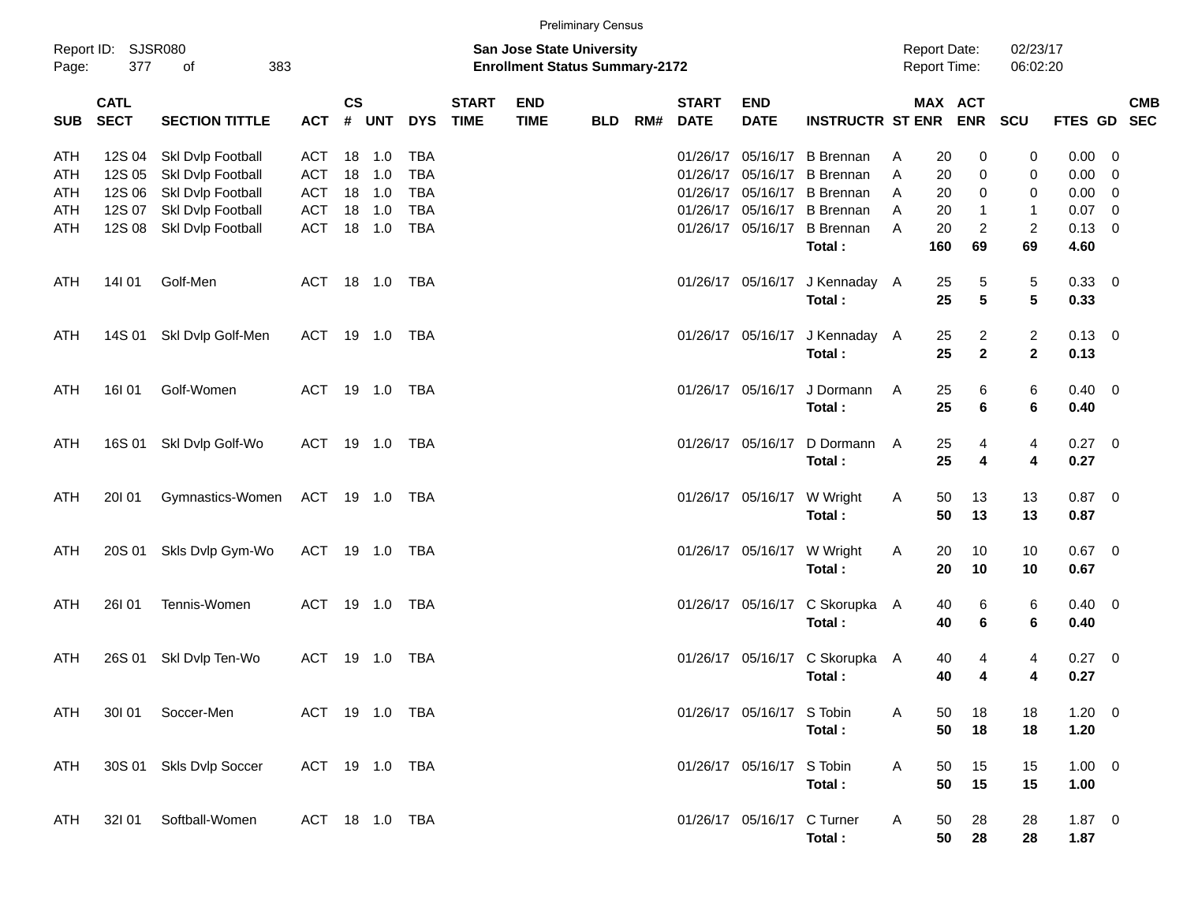|  | <b>Preliminary Census</b> |  |
|--|---------------------------|--|

|            |                            |                         |            |                    |                |            |                             |                                                                           | <b>Preliminary Census</b> |     |                             |                            |                                |   |                                     |                  |                      |                |                          |            |
|------------|----------------------------|-------------------------|------------|--------------------|----------------|------------|-----------------------------|---------------------------------------------------------------------------|---------------------------|-----|-----------------------------|----------------------------|--------------------------------|---|-------------------------------------|------------------|----------------------|----------------|--------------------------|------------|
| Page:      | Report ID: SJSR080<br>377  | 383<br>οf               |            |                    |                |            |                             | <b>San Jose State University</b><br><b>Enrollment Status Summary-2172</b> |                           |     |                             |                            |                                |   | <b>Report Date:</b><br>Report Time: |                  | 02/23/17<br>06:02:20 |                |                          |            |
| <b>SUB</b> | <b>CATL</b><br><b>SECT</b> | <b>SECTION TITTLE</b>   | <b>ACT</b> | $\mathsf{cs}$<br># | <b>UNT</b>     | <b>DYS</b> | <b>START</b><br><b>TIME</b> | <b>END</b><br><b>TIME</b>                                                 | <b>BLD</b>                | RM# | <b>START</b><br><b>DATE</b> | <b>END</b><br><b>DATE</b>  | <b>INSTRUCTR ST ENR</b>        |   | <b>MAX ACT</b>                      | <b>ENR</b>       | SCU                  | FTES GD SEC    |                          | <b>CMB</b> |
| ATH        | 12S 04                     | Skl Dvlp Football       | ACT        | 18                 | 1.0            | <b>TBA</b> |                             |                                                                           |                           |     | 01/26/17                    | 05/16/17                   | <b>B</b> Brennan               | A | 20                                  | 0                | 0                    | 0.00           | $\overline{\mathbf{0}}$  |            |
| ATH        | 12S 05                     | Skl Dvlp Football       | ACT        | 18                 | 1.0            | <b>TBA</b> |                             |                                                                           |                           |     | 01/26/17                    | 05/16/17                   | <b>B</b> Brennan               | A | 20                                  | 0                | 0                    | 0.00           | $\overline{\mathbf{0}}$  |            |
| ATH        | 12S 06                     | Skl Dvlp Football       | ACT        |                    | 18 1.0         | <b>TBA</b> |                             |                                                                           |                           |     | 01/26/17                    |                            | 05/16/17 B Brennan             | A | 20                                  | 0                | 0                    | 0.00           | $\overline{\mathbf{0}}$  |            |
| ATH        | 12S 07                     | Skl Dvlp Football       | <b>ACT</b> | 18                 | 1.0            | <b>TBA</b> |                             |                                                                           |                           |     | 01/26/17                    | 05/16/17                   | <b>B</b> Brennan               | A | 20                                  | $\mathbf{1}$     | 1                    | 0.07           | $\overline{\mathbf{0}}$  |            |
| ATH        | 12S 08                     | Skl Dvlp Football       | <b>ACT</b> | 18                 | 1.0            | <b>TBA</b> |                             |                                                                           |                           |     | 01/26/17                    | 05/16/17                   | <b>B</b> Brennan               | A | 20                                  | $\boldsymbol{2}$ | $\overline{c}$       | 0.13           | $\overline{0}$           |            |
|            |                            |                         |            |                    |                |            |                             |                                                                           |                           |     |                             |                            | Total:                         |   | 160                                 | 69               | 69                   | 4.60           |                          |            |
| ATH        | 14101                      | Golf-Men                | ACT        |                    | 18 1.0         | TBA        |                             |                                                                           |                           |     |                             |                            | 01/26/17 05/16/17 J Kennaday A |   | 25                                  | 5                | 5                    | 0.33           | $\overline{\phantom{0}}$ |            |
|            |                            |                         |            |                    |                |            |                             |                                                                           |                           |     |                             |                            | Total:                         |   | 25                                  | $5\phantom{1}$   | $5\phantom{.0}$      | 0.33           |                          |            |
| ATH        | 14S 01                     | Skl Dvlp Golf-Men       | ACT        |                    | 19 1.0         | TBA        |                             |                                                                           |                           |     |                             |                            | 01/26/17 05/16/17 J Kennaday A |   | 25                                  | $\overline{c}$   | $\overline{c}$       | $0.13 \quad 0$ |                          |            |
|            |                            |                         |            |                    |                |            |                             |                                                                           |                           |     |                             |                            | Total:                         |   | 25                                  | $\mathbf{2}$     | $\mathbf{2}$         | 0.13           |                          |            |
| ATH        | <b>16I01</b>               | Golf-Women              | ACT        |                    | 19 1.0         | TBA        |                             |                                                                           |                           |     |                             | 01/26/17 05/16/17          | J Dormann                      | A | 25                                  | 6                | 6                    | 0.40           | $\overline{\phantom{0}}$ |            |
|            |                            |                         |            |                    |                |            |                             |                                                                           |                           |     |                             |                            | Total:                         |   | 25                                  | 6                | 6                    | 0.40           |                          |            |
| ATH        | 16S 01                     | Skl Dvlp Golf-Wo        | ACT        |                    | 19 1.0         | TBA        |                             |                                                                           |                           |     |                             | 01/26/17 05/16/17          | D Dormann                      | A | 25                                  | 4                | 4                    | 0.27           | $\overline{\phantom{0}}$ |            |
|            |                            |                         |            |                    |                |            |                             |                                                                           |                           |     |                             |                            | Total:                         |   | 25                                  | 4                | 4                    | 0.27           |                          |            |
| ATH        | 20101                      | Gymnastics-Women        | ACT 19 1.0 |                    |                | TBA        |                             |                                                                           |                           |     |                             |                            | 01/26/17 05/16/17 W Wright     | A | 50                                  | 13               | 13                   | 0.87           | $\overline{\phantom{0}}$ |            |
|            |                            |                         |            |                    |                |            |                             |                                                                           |                           |     |                             |                            | Total:                         |   | 50                                  | 13               | 13                   | 0.87           |                          |            |
| ATH        | 20S 01                     | Skls Dvlp Gym-Wo        | ACT        |                    | 19 1.0         | TBA        |                             |                                                                           |                           |     |                             |                            | 01/26/17 05/16/17 W Wright     | A | 20                                  | 10               | 10                   | 0.67           | $\overline{\mathbf{0}}$  |            |
|            |                            |                         |            |                    |                |            |                             |                                                                           |                           |     |                             |                            | Total:                         |   | 20                                  | 10               | 10                   | 0.67           |                          |            |
| ATH        | <b>26I01</b>               | Tennis-Women            | <b>ACT</b> |                    | 19 1.0         | TBA        |                             |                                                                           |                           |     |                             |                            | 01/26/17 05/16/17 C Skorupka A |   | 40                                  | 6                | 6                    | 0.40           | $\overline{\phantom{0}}$ |            |
|            |                            |                         |            |                    |                |            |                             |                                                                           |                           |     |                             |                            | Total:                         |   | 40                                  | 6                | 6                    | 0.40           |                          |            |
| ATH        | 26S 01                     | Skl Dvlp Ten-Wo         | ACT        |                    | 19 1.0         | TBA        |                             |                                                                           |                           |     |                             |                            | 01/26/17 05/16/17 C Skorupka A |   | 40                                  | 4                | 4                    | 0.27           | $\overline{\phantom{0}}$ |            |
|            |                            |                         |            |                    |                |            |                             |                                                                           |                           |     |                             |                            | Total:                         |   | 40                                  | 4                | 4                    | 0.27           |                          |            |
| ATH        |                            | 301 01 Soccer-Men       |            |                    | ACT 19 1.0 TBA |            |                             |                                                                           |                           |     |                             | 01/26/17 05/16/17 S Tobin  |                                | A | 50                                  | 18               | 18                   | $1.20 \t 0$    |                          |            |
|            |                            |                         |            |                    |                |            |                             |                                                                           |                           |     |                             |                            | Total:                         |   | 50                                  | 18               | 18                   | 1.20           |                          |            |
| ATH        |                            | 30S 01 Skls Dvlp Soccer |            |                    | ACT 19 1.0 TBA |            |                             |                                                                           |                           |     |                             | 01/26/17 05/16/17 S Tobin  |                                | A | 50                                  | 15               | 15                   | $1.00 \t 0$    |                          |            |
|            |                            |                         |            |                    |                |            |                             |                                                                           |                           |     |                             |                            | Total:                         |   | 50                                  | 15               | 15                   | 1.00           |                          |            |
| ATH        |                            | 32I 01 Softball-Women   |            |                    | ACT 18 1.0 TBA |            |                             |                                                                           |                           |     |                             | 01/26/17 05/16/17 C Turner |                                | A | 50                                  | 28               | 28                   | $1.87 \t 0$    |                          |            |
|            |                            |                         |            |                    |                |            |                             |                                                                           |                           |     |                             |                            | Total:                         |   | 50                                  | 28               | 28                   | 1.87           |                          |            |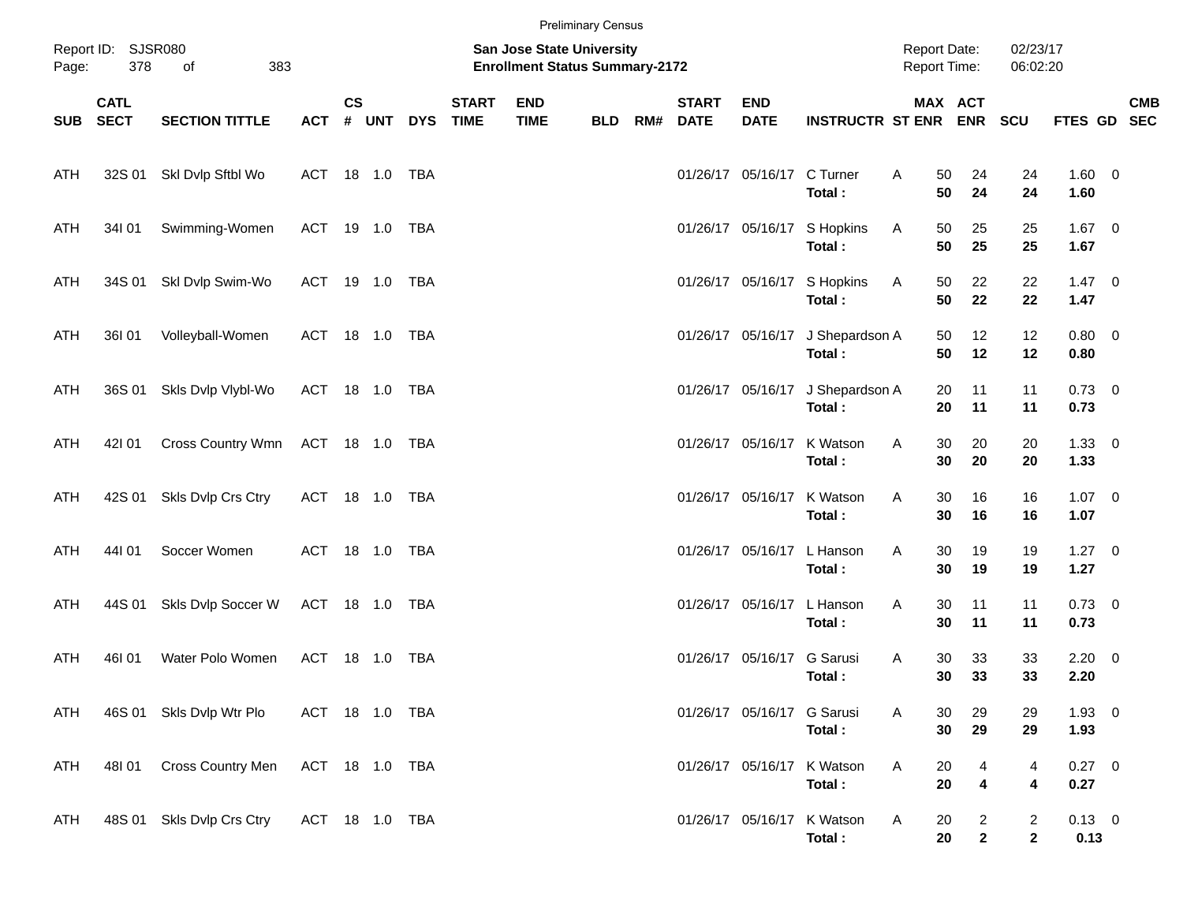|            |                            |                           |                |               |       |            |                             |                                                                    | <b>Preliminary Census</b> |     |                             |                            |                                       |                                     |                                |                                |                        |            |
|------------|----------------------------|---------------------------|----------------|---------------|-------|------------|-----------------------------|--------------------------------------------------------------------|---------------------------|-----|-----------------------------|----------------------------|---------------------------------------|-------------------------------------|--------------------------------|--------------------------------|------------------------|------------|
| Page:      | Report ID: SJSR080<br>378  | of<br>383                 |                |               |       |            |                             | San Jose State University<br><b>Enrollment Status Summary-2172</b> |                           |     |                             |                            |                                       | <b>Report Date:</b><br>Report Time: |                                | 02/23/17<br>06:02:20           |                        |            |
| SUB        | <b>CATL</b><br><b>SECT</b> | <b>SECTION TITTLE</b>     | <b>ACT</b>     | $\mathsf{cs}$ | # UNT | <b>DYS</b> | <b>START</b><br><b>TIME</b> | <b>END</b><br><b>TIME</b>                                          | <b>BLD</b>                | RM# | <b>START</b><br><b>DATE</b> | <b>END</b><br><b>DATE</b>  | <b>INSTRUCTR ST ENR ENR</b>           | MAX ACT                             |                                | <b>SCU</b>                     | FTES GD SEC            | <b>CMB</b> |
| ATH        |                            | 32S 01 SkI Dvlp Sftbl Wo  | ACT 18 1.0 TBA |               |       |            |                             |                                                                    |                           |     |                             | 01/26/17 05/16/17 C Turner | Total:                                | A<br>50<br>50                       | 24<br>24                       | 24<br>24                       | $1.60 \t 0$<br>1.60    |            |
| ATH        | 34101                      | Swimming-Women            | ACT 19 1.0 TBA |               |       |            |                             |                                                                    |                           |     |                             |                            | 01/26/17 05/16/17 S Hopkins<br>Total: | Α<br>50<br>50                       | 25<br>25                       | 25<br>25                       | $1.67 \t 0$<br>1.67    |            |
| ATH        | 34S 01                     | Skl Dvlp Swim-Wo          | ACT 19 1.0 TBA |               |       |            |                             |                                                                    |                           |     |                             | 01/26/17 05/16/17          | S Hopkins<br>Total:                   | Α<br>50<br>50                       | 22<br>22                       | 22<br>22                       | $1.47 \quad 0$<br>1.47 |            |
| ATH        | 36101                      | Volleyball-Women          | ACT 18 1.0 TBA |               |       |            |                             |                                                                    |                           |     |                             | 01/26/17 05/16/17          | J Shepardson A<br>Total:              | 50<br>50                            | 12<br>12                       | 12<br>12                       | $0.80 \ 0$<br>0.80     |            |
| ATH        | 36S 01                     | Skls Dvlp Vlybl-Wo        | ACT 18 1.0 TBA |               |       |            |                             |                                                                    |                           |     |                             | 01/26/17 05/16/17          | J Shepardson A<br>Total:              | 20<br>20                            | 11<br>11                       | 11<br>11                       | $0.73 \quad 0$<br>0.73 |            |
| ATH        | 42101                      | Cross Country Wmn         | ACT 18 1.0 TBA |               |       |            |                             |                                                                    |                           |     |                             | 01/26/17 05/16/17          | K Watson<br>Total:                    | 30<br>A<br>30                       | 20<br>20                       | 20<br>20                       | $1.33 \ 0$<br>1.33     |            |
| ATH        | 42S 01                     | Skls Dvlp Crs Ctry        | ACT 18 1.0 TBA |               |       |            |                             |                                                                    |                           |     |                             | 01/26/17 05/16/17          | K Watson<br>Total:                    | 30<br>A<br>30                       | 16<br>16                       | 16<br>16                       | $1.07 \t 0$<br>1.07    |            |
| ATH        | 44101                      | Soccer Women              | ACT 18 1.0 TBA |               |       |            |                             |                                                                    |                           |     |                             | 01/26/17 05/16/17          | L Hanson<br>Total:                    | A<br>30<br>30                       | 19<br>19                       | 19<br>19                       | $1.27 \t 0$<br>1.27    |            |
| ATH        | 44S 01                     | Skls Dvlp Soccer W        | ACT 18 1.0 TBA |               |       |            |                             |                                                                    |                           |     |                             | 01/26/17 05/16/17          | L Hanson<br>Total:                    | A<br>30<br>30                       | 11<br>11                       | 11<br>11                       | $0.73 \quad 0$<br>0.73 |            |
| ATH        | 46I 01                     | Water Polo Women          | ACT 18 1.0     |               |       | TBA        |                             |                                                                    |                           |     |                             | 01/26/17 05/16/17          | G Sarusi<br>Total:                    | A<br>30<br>30                       | 33<br>33                       | 33<br>33                       | $2.20 \t 0$<br>2.20    |            |
| ATH        |                            | 46S 01 Skls Dvlp Wtr Plo  | ACT 18 1.0 TBA |               |       |            |                             |                                                                    |                           |     |                             | 01/26/17 05/16/17 G Sarusi | Total:                                | 30<br>A<br>30                       | 29<br>29                       | 29<br>29                       | $1.93 \ 0$<br>1.93     |            |
| <b>ATH</b> | 48101                      | Cross Country Men         | ACT 18 1.0 TBA |               |       |            |                             |                                                                    |                           |     |                             |                            | 01/26/17 05/16/17 K Watson<br>Total:  | Α<br>20<br>20                       | 4<br>4                         | 4<br>4                         | $0.27$ 0<br>0.27       |            |
| ATH        |                            | 48S 01 Skls Dvlp Crs Ctry | ACT 18 1.0 TBA |               |       |            |                             |                                                                    |                           |     |                             |                            | 01/26/17 05/16/17 K Watson<br>Total:  | Α<br>20<br>20                       | $\overline{a}$<br>$\mathbf{2}$ | $\overline{2}$<br>$\mathbf{2}$ | $0.13 \ 0$<br>0.13     |            |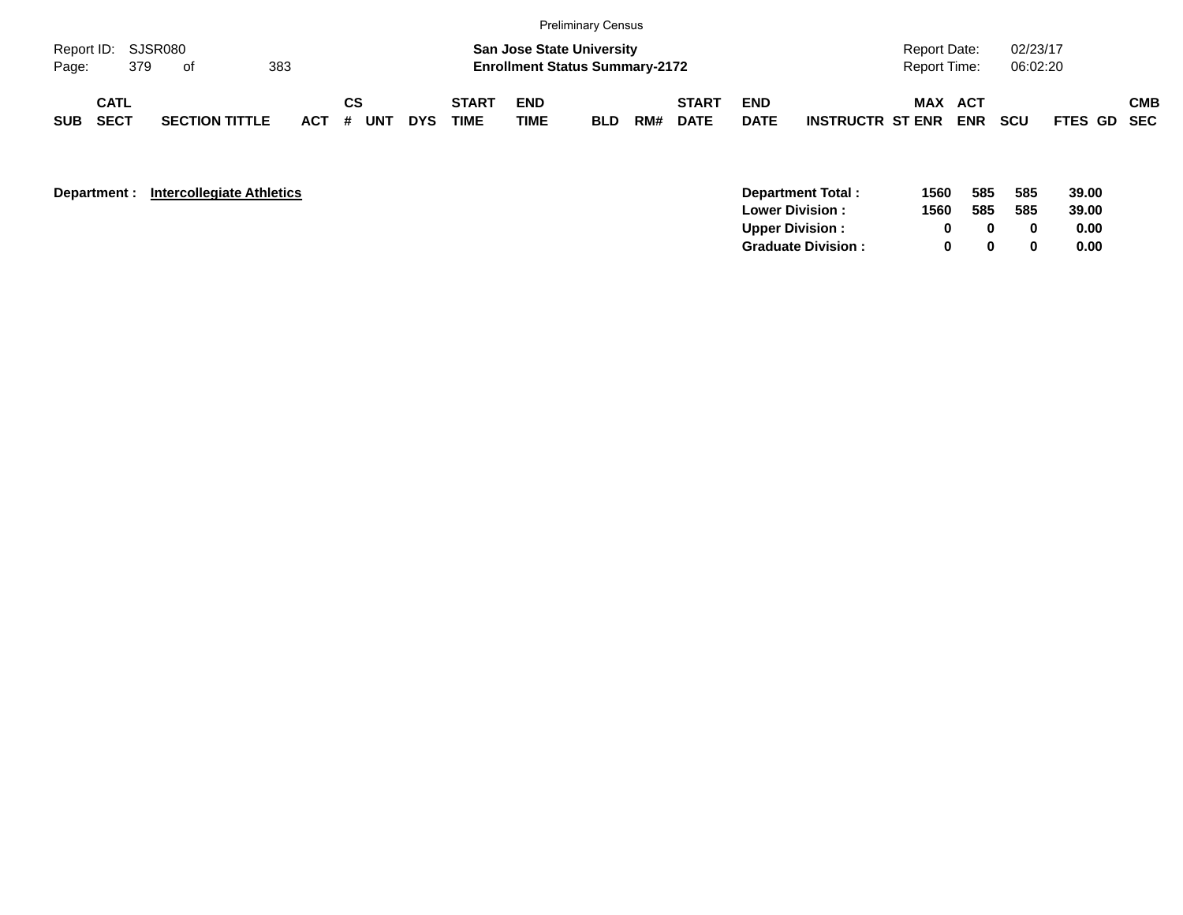|                             |                            |     |                       |     |         |    |     |            |                      |                           | <b>Preliminary Census</b>                                                 |     |                             |                           |                         |                                     |            |                      |             |            |
|-----------------------------|----------------------------|-----|-----------------------|-----|---------|----|-----|------------|----------------------|---------------------------|---------------------------------------------------------------------------|-----|-----------------------------|---------------------------|-------------------------|-------------------------------------|------------|----------------------|-------------|------------|
| Report ID: SJSR080<br>Page: |                            | 379 | of                    | 383 |         |    |     |            |                      |                           | <b>San Jose State University</b><br><b>Enrollment Status Summary-2172</b> |     |                             |                           |                         | <b>Report Date:</b><br>Report Time: |            | 02/23/17<br>06:02:20 |             |            |
| <b>SUB</b>                  | <b>CATL</b><br><b>SECT</b> |     | <b>SECTION TITTLE</b> |     | $ACT$ # | СS | UNT | <b>DYS</b> | <b>START</b><br>TIME | <b>END</b><br><b>TIME</b> | <b>BLD</b>                                                                | RM# | <b>START</b><br><b>DATE</b> | <b>END</b><br><b>DATE</b> | <b>INSTRUCTR ST ENR</b> | <b>MAX ACT</b>                      | <b>ENR</b> | <b>SCU</b>           | FTES GD SEC | <b>CMB</b> |

| Department : | <b>Intercollegiate Athletics</b> | 1560<br>Department Total:      | 585 | 585 | 39.00 |
|--------------|----------------------------------|--------------------------------|-----|-----|-------|
|              |                                  | 1560<br><b>Lower Division:</b> | 585 | 585 | 39.00 |
|              |                                  | <b>Upper Division:</b>         |     |     | 0.00  |
|              |                                  | <b>Graduate Division:</b>      |     |     | 0.00  |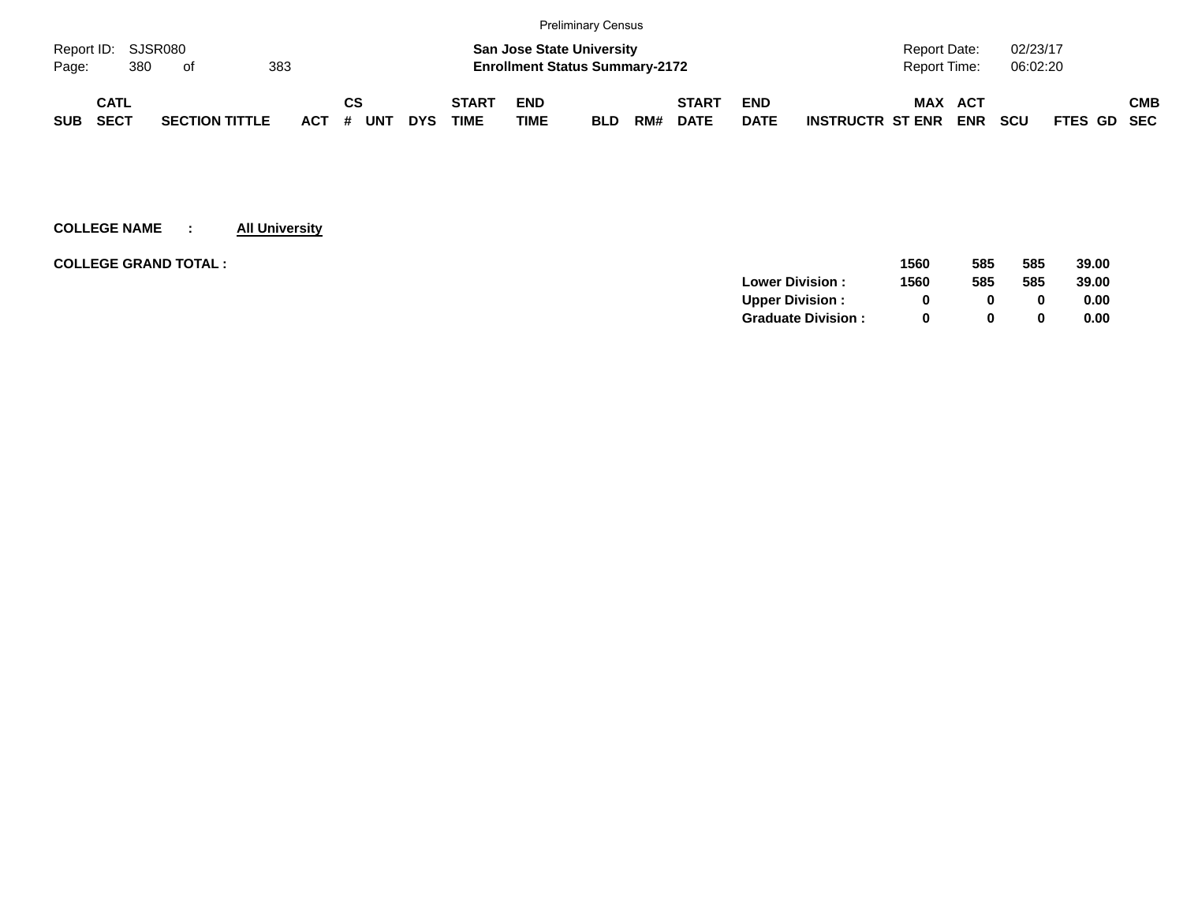|            |                    |    |                       |            |          |            |              |                                       | <b>Preliminary Census</b> |     |              |             |                         |              |            |            |             |            |
|------------|--------------------|----|-----------------------|------------|----------|------------|--------------|---------------------------------------|---------------------------|-----|--------------|-------------|-------------------------|--------------|------------|------------|-------------|------------|
|            | Report ID: SJSR080 |    |                       |            |          |            |              | <b>San Jose State University</b>      |                           |     |              |             |                         | Report Date: |            | 02/23/17   |             |            |
| Page:      | 380                | of | 383                   |            |          |            |              | <b>Enrollment Status Summary-2172</b> |                           |     |              |             |                         | Report Time: |            | 06:02:20   |             |            |
|            | CATL               |    |                       |            | СS       |            | <b>START</b> | <b>END</b>                            |                           |     | <b>START</b> | <b>END</b>  |                         | MAX          | ACT        |            |             | <b>CMB</b> |
| <b>SUB</b> | <b>SECT</b>        |    | <b>SECTION TITTLE</b> | <b>ACT</b> | UNT<br># | <b>DYS</b> | <b>TIME</b>  | <b>TIME</b>                           | <b>BLD</b>                | RM# | <b>DATE</b>  | <b>DATE</b> | <b>INSTRUCTR ST ENR</b> |              | <b>ENR</b> | <b>SCU</b> | FTES GD SEC |            |

| <b>COLLEGE GRAND TOTAL :</b> | 1560 | 585          | 585 | 39.00 |
|------------------------------|------|--------------|-----|-------|
| <b>Lower Division:</b>       | 1560 | 585          | 585 | 39.00 |
| <b>Upper Division:</b>       | 0    |              |     | 0.00  |
| <b>Graduate Division:</b>    | 0    | <sup>0</sup> |     | 0.00  |
|                              |      |              |     |       |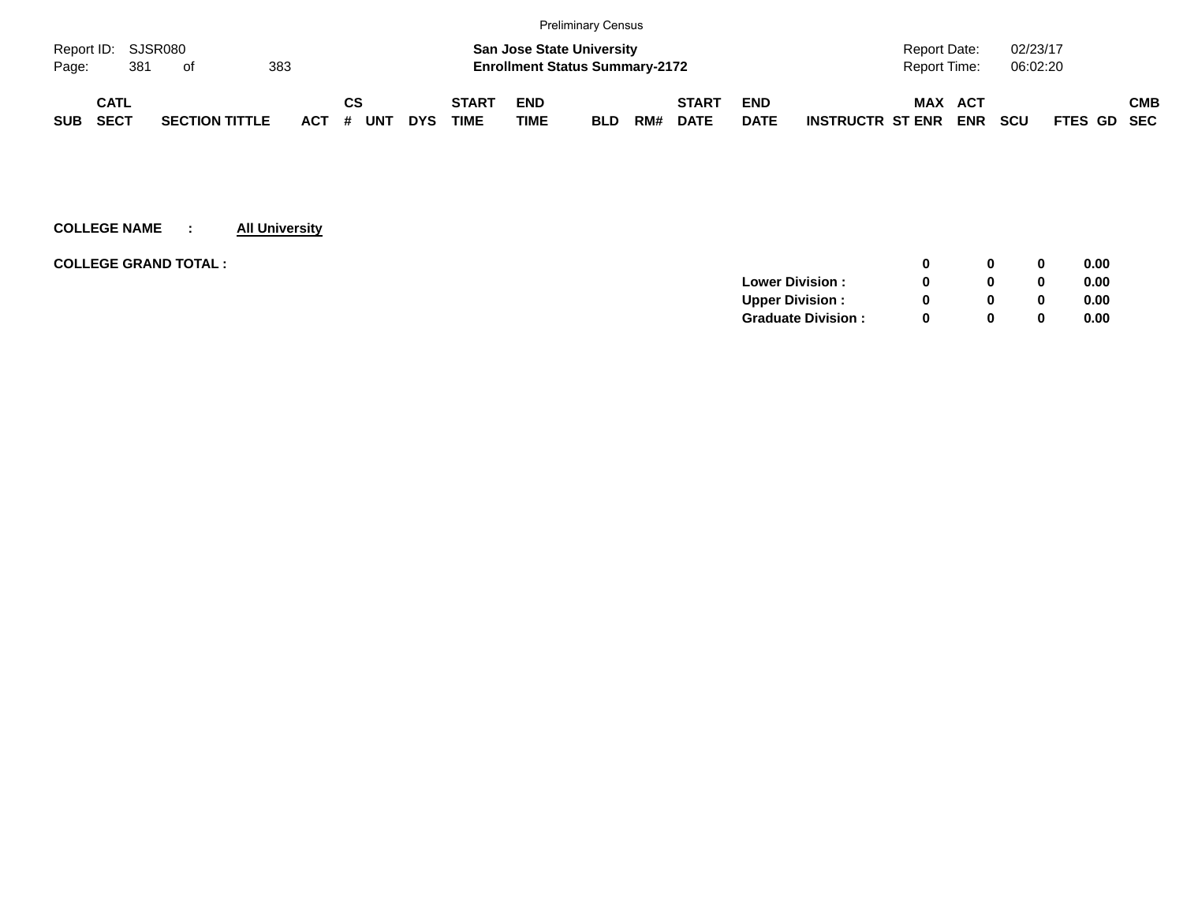|            |                    |                       |     |            |    |     |            |              |                                       | <b>Preliminary Census</b> |     |              |             |                         |                |            |            |                    |            |
|------------|--------------------|-----------------------|-----|------------|----|-----|------------|--------------|---------------------------------------|---------------------------|-----|--------------|-------------|-------------------------|----------------|------------|------------|--------------------|------------|
|            | Report ID: SJSR080 |                       |     |            |    |     |            |              | <b>San Jose State University</b>      |                           |     |              |             |                         | Report Date:   |            | 02/23/17   |                    |            |
| Page:      | 381                | . of                  | 383 |            |    |     |            |              | <b>Enrollment Status Summary-2172</b> |                           |     |              |             |                         | Report Time:   |            | 06:02:20   |                    |            |
|            | CATL               |                       |     |            | СS |     |            | <b>START</b> | <b>END</b>                            |                           |     | <b>START</b> | <b>END</b>  |                         | <b>MAX ACT</b> |            |            |                    | <b>CMB</b> |
| <b>SUB</b> | SECT               | <b>SECTION TITTLE</b> |     | <b>ACT</b> | #  | UNT | <b>DYS</b> | <b>TIME</b>  | <b>TIME</b>                           | <b>BLD</b>                | RM# | <b>DATE</b>  | <b>DATE</b> | <b>INSTRUCTR ST ENR</b> |                | <b>ENR</b> | <b>SCU</b> | <b>FTES GD SEC</b> |            |

|              | 0 | 0.00 |
|--------------|---|------|
|              | 0 | 0.00 |
| <sup>0</sup> | 0 | 0.00 |
| $\Omega$     | 0 | 0.00 |
|              |   |      |